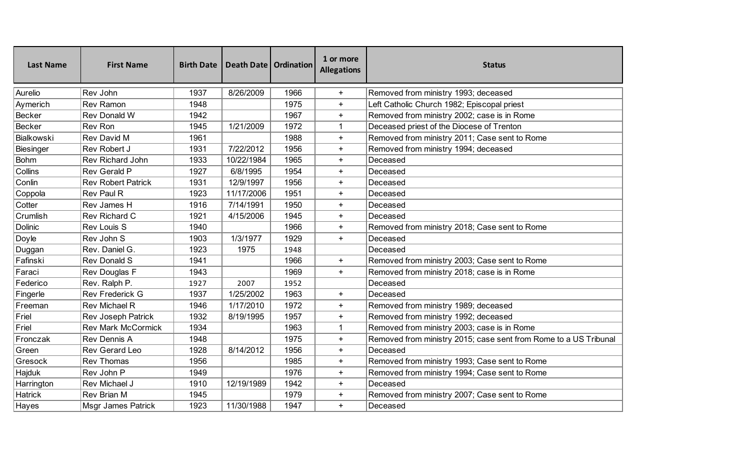| <b>Last Name</b>  | <b>First Name</b>         | <b>Birth Date</b> | Death Date   Ordination |      | 1 or more<br><b>Allegations</b> | <b>Status</b>                                                    |
|-------------------|---------------------------|-------------------|-------------------------|------|---------------------------------|------------------------------------------------------------------|
| Aurelio           | Rev John                  | 1937              | 8/26/2009               | 1966 | $\ddot{}$                       | Removed from ministry 1993; deceased                             |
| Aymerich          | <b>Rev Ramon</b>          | 1948              |                         | 1975 | $\ddot{}$                       | Left Catholic Church 1982; Episcopal priest                      |
| <b>Becker</b>     | Rev Donald W              | 1942              |                         | 1967 | $+$                             | Removed from ministry 2002; case is in Rome                      |
| <b>Becker</b>     | Rev Ron                   | 1945              | 1/21/2009               | 1972 | $\mathbf{1}$                    | Deceased priest of the Diocese of Trenton                        |
| <b>Bialkowski</b> | Rev David M               | 1961              |                         | 1988 | $+$                             | Removed from ministry 2011; Case sent to Rome                    |
| <b>Biesinger</b>  | Rev Robert J              | 1931              | 7/22/2012               | 1956 | $+$                             | Removed from ministry 1994; deceased                             |
| <b>Bohm</b>       | Rev Richard John          | 1933              | 10/22/1984              | 1965 | $\ddot{}$                       | Deceased                                                         |
| Collins           | <b>Rev Gerald P</b>       | 1927              | 6/8/1995                | 1954 | $\ddot{}$                       | Deceased                                                         |
| Conlin            | <b>Rev Robert Patrick</b> | 1931              | 12/9/1997               | 1956 | $\ddot{}$                       | Deceased                                                         |
| Coppola           | <b>Rev Paul R</b>         | 1923              | 11/17/2006              | 1951 | $\ddot{}$                       | Deceased                                                         |
| Cotter            | Rev James H               | 1916              | 7/14/1991               | 1950 | $+$                             | Deceased                                                         |
| Crumlish          | Rev Richard C             | 1921              | 4/15/2006               | 1945 | $\ddot{}$                       | Deceased                                                         |
| <b>Dolinic</b>    | Rev Louis S               | 1940              |                         | 1966 | $\ddot{}$                       | Removed from ministry 2018; Case sent to Rome                    |
| Doyle             | Rev John S                | 1903              | 1/3/1977                | 1929 | $+$                             | Deceased                                                         |
| Duggan            | Rev. Daniel G.            | 1923              | 1975                    | 1948 |                                 | Deceased                                                         |
| Fafinski          | <b>Rev Donald S</b>       | 1941              |                         | 1966 | $\ddot{}$                       | Removed from ministry 2003; Case sent to Rome                    |
| Faraci            | Rev Douglas F             | 1943              |                         | 1969 | $+$                             | Removed from ministry 2018; case is in Rome                      |
| Federico          | Rev. Ralph P.             | 1927              | 2007                    | 1952 |                                 | Deceased                                                         |
| Fingerle          | <b>Rev Frederick G</b>    | 1937              | 1/25/2002               | 1963 | $+$                             | Deceased                                                         |
| Freeman           | <b>Rev Michael R</b>      | 1946              | 1/17/2010               | 1972 | $\ddot{}$                       | Removed from ministry 1989; deceased                             |
| Friel             | Rev Joseph Patrick        | 1932              | 8/19/1995               | 1957 | $\ddot{}$                       | Removed from ministry 1992; deceased                             |
| Friel             | <b>Rev Mark McCormick</b> | 1934              |                         | 1963 | $\mathbf{1}$                    | Removed from ministry 2003; case is in Rome                      |
| Fronczak          | Rev Dennis A              | 1948              |                         | 1975 | $\ddot{}$                       | Removed from ministry 2015; case sent from Rome to a US Tribunal |
| Green             | Rev Gerard Leo            | 1928              | 8/14/2012               | 1956 | $\ddot{}$                       | Deceased                                                         |
| Gresock           | <b>Rev Thomas</b>         | 1956              |                         | 1985 | $\ddot{}$                       | Removed from ministry 1993; Case sent to Rome                    |
| Hajduk            | Rev John P                | 1949              |                         | 1976 | $\ddot{}$                       | Removed from ministry 1994; Case sent to Rome                    |
| Harrington        | Rev Michael J             | 1910              | 12/19/1989              | 1942 | $+$                             | Deceased                                                         |
| <b>Hatrick</b>    | Rev Brian M               | 1945              |                         | 1979 | $\ddot{}$                       | Removed from ministry 2007; Case sent to Rome                    |
| Hayes             | <b>Msgr James Patrick</b> | 1923              | 11/30/1988              | 1947 | $+$                             | Deceased                                                         |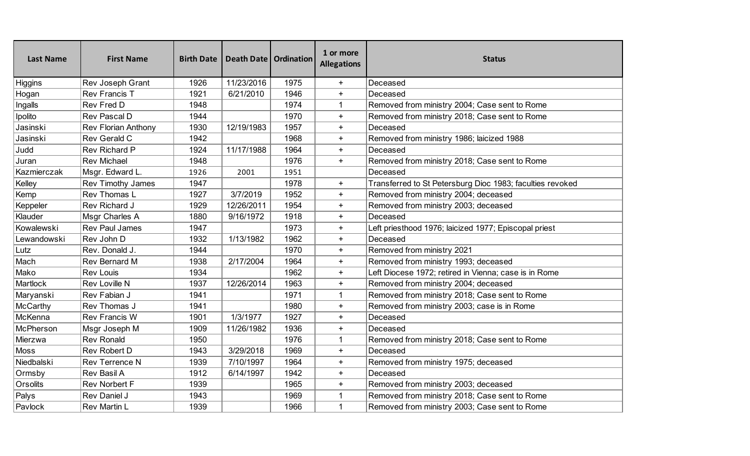| <b>Last Name</b> | <b>First Name</b>          | <b>Birth Date</b> | Death Date   Ordination |      | 1 or more<br><b>Allegations</b> | <b>Status</b>                                             |
|------------------|----------------------------|-------------------|-------------------------|------|---------------------------------|-----------------------------------------------------------|
| <b>Higgins</b>   | Rev Joseph Grant           | 1926              | 11/23/2016              | 1975 | $+$                             | Deceased                                                  |
| Hogan            | Rev Francis T              | 1921              | 6/21/2010               | 1946 | $+$                             | Deceased                                                  |
| Ingalls          | Rev Fred D                 | 1948              |                         | 1974 | $\mathbf{1}$                    | Removed from ministry 2004; Case sent to Rome             |
| Ipolito          | Rev Pascal D               | 1944              |                         | 1970 | $+$                             | Removed from ministry 2018; Case sent to Rome             |
| Jasinski         | <b>Rev Florian Anthony</b> | 1930              | 12/19/1983              | 1957 | $+$                             | Deceased                                                  |
| Jasinski         | Rev Gerald C               | 1942              |                         | 1968 | $+$                             | Removed from ministry 1986; laicized 1988                 |
| Judd             | Rev Richard P              | 1924              | 11/17/1988              | 1964 | $+$                             | Deceased                                                  |
| Juran            | <b>Rev Michael</b>         | 1948              |                         | 1976 | $+$                             | Removed from ministry 2018; Case sent to Rome             |
| Kazmierczak      | Msgr. Edward L.            | 1926              | 2001                    | 1951 |                                 | Deceased                                                  |
| Kelley           | Rev Timothy James          | 1947              |                         | 1978 | $+$                             | Transferred to St Petersburg Dioc 1983; faculties revoked |
| Kemp             | Rev Thomas L               | 1927              | 3/7/2019                | 1952 | $+$                             | Removed from ministry 2004; deceased                      |
| Keppeler         | Rev Richard J              | 1929              | 12/26/2011              | 1954 | $+$                             | Removed from ministry 2003; deceased                      |
| Klauder          | Msgr Charles A             | 1880              | 9/16/1972               | 1918 | $+$                             | Deceased                                                  |
| Kowalewski       | <b>Rev Paul James</b>      | 1947              |                         | 1973 | $+$                             | Left priesthood 1976; laicized 1977; Episcopal priest     |
| Lewandowski      | Rev John D                 | 1932              | 1/13/1982               | 1962 | $+$                             | Deceased                                                  |
| Lutz             | Rev. Donald J.             | 1944              |                         | 1970 | $+$                             | Removed from ministry 2021                                |
| Mach             | Rev Bernard M              | 1938              | 2/17/2004               | 1964 | $+$                             | Removed from ministry 1993; deceased                      |
| Mako             | <b>Rev Louis</b>           | 1934              |                         | 1962 | $+$                             | Left Diocese 1972; retired in Vienna; case is in Rome     |
| Martlock         | Rev Loville N              | 1937              | 12/26/2014              | 1963 | $+$                             | Removed from ministry 2004; deceased                      |
| Maryanski        | Rev Fabian J               | 1941              |                         | 1971 | $\mathbf{1}$                    | Removed from ministry 2018; Case sent to Rome             |
| McCarthy         | Rev Thomas J               | 1941              |                         | 1980 | $+$                             | Removed from ministry 2003; case is in Rome               |
| McKenna          | <b>Rev Francis W</b>       | 1901              | 1/3/1977                | 1927 | $+$                             | Deceased                                                  |
| McPherson        | Msgr Joseph M              | 1909              | 11/26/1982              | 1936 | $+$                             | Deceased                                                  |
| Mierzwa          | <b>Rev Ronald</b>          | 1950              |                         | 1976 | $\mathbf{1}$                    | Removed from ministry 2018; Case sent to Rome             |
| <b>Moss</b>      | <b>Rev Robert D</b>        | 1943              | 3/29/2018               | 1969 | $+$                             | Deceased                                                  |
| Niedbalski       | Rev Terrence N             | 1939              | 7/10/1997               | 1964 | $+$                             | Removed from ministry 1975; deceased                      |
| Ormsby           | Rev Basil A                | 1912              | 6/14/1997               | 1942 | $+$                             | Deceased                                                  |
| Orsolits         | Rev Norbert F              | 1939              |                         | 1965 | $\ddot{}$                       | Removed from ministry 2003; deceased                      |
| Palys            | Rev Daniel J               | 1943              |                         | 1969 | $\mathbf{1}$                    | Removed from ministry 2018; Case sent to Rome             |
| Pavlock          | Rev Martin L               | 1939              |                         | 1966 | $\mathbf{1}$                    | Removed from ministry 2003; Case sent to Rome             |